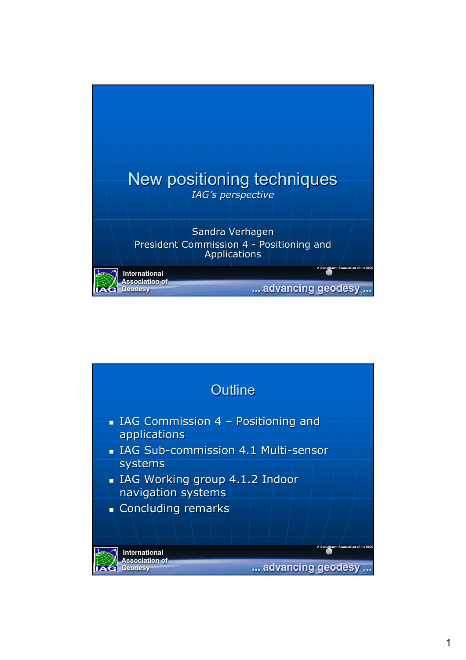

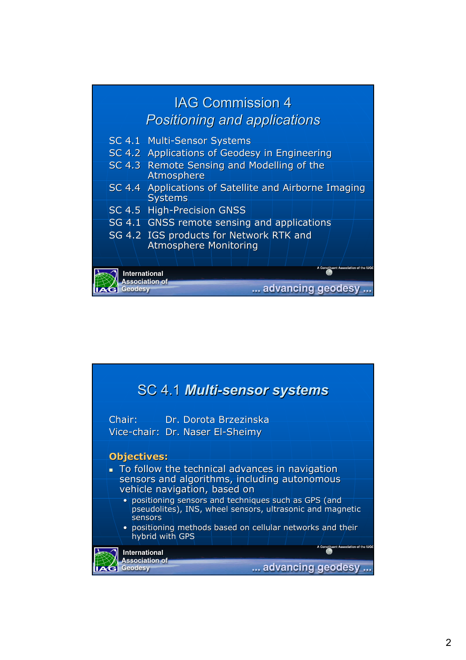

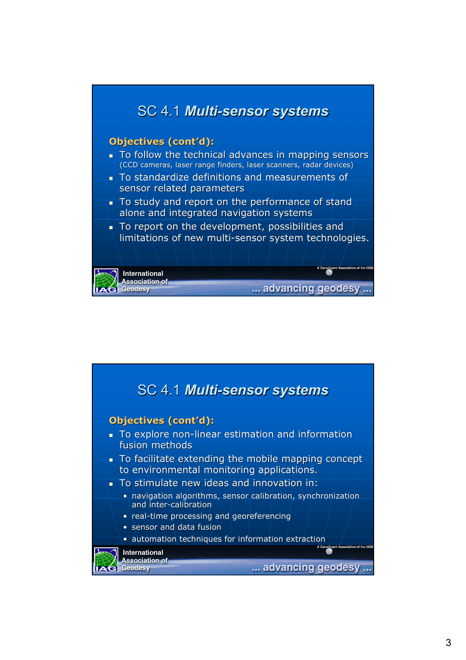

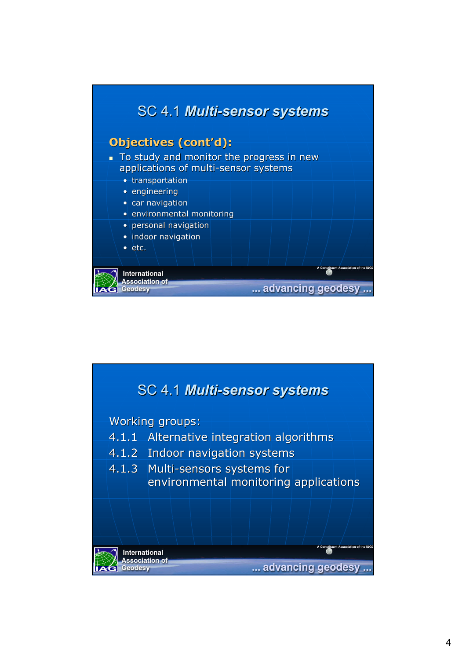

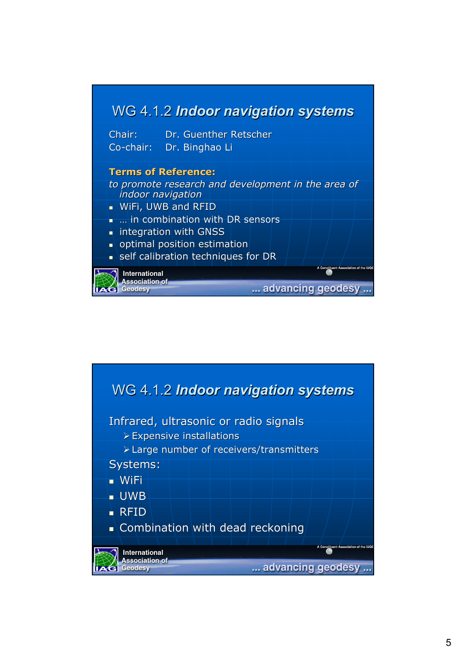

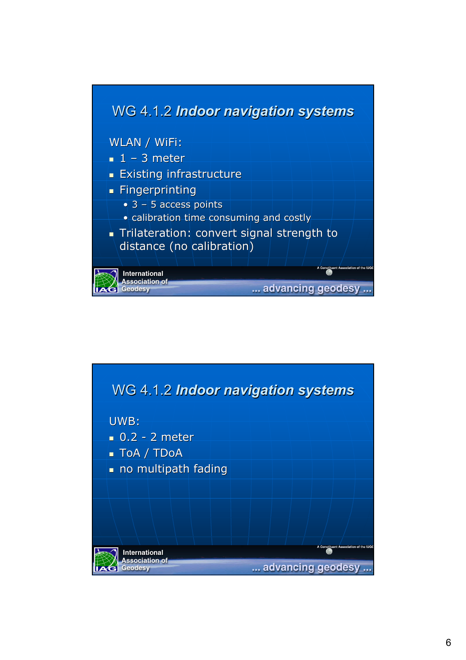

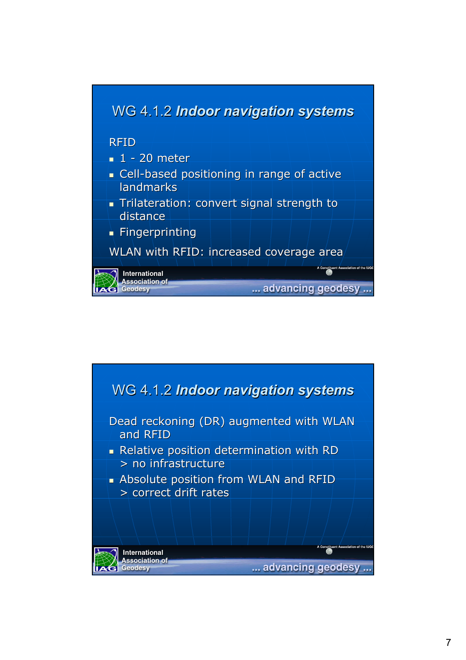